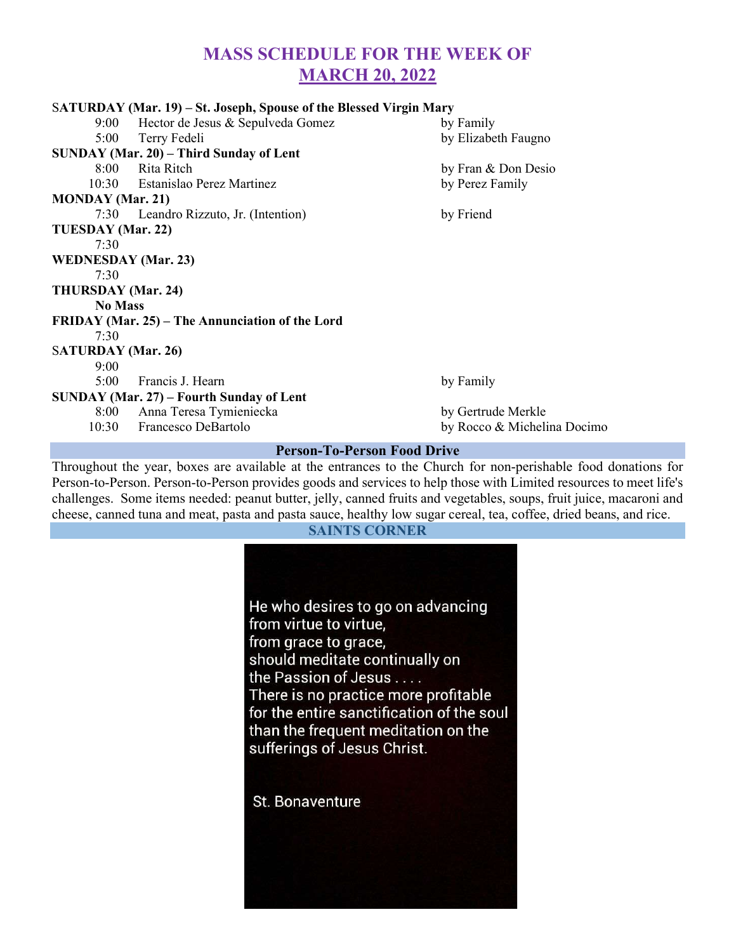# MASS SCHEDULE FOR THE WEEK OF MARCH 20, 2022

|                                    | SATURDAY (Mar. 19) – St. Joseph, Spouse of the Blessed Virgin Mary |                      |
|------------------------------------|--------------------------------------------------------------------|----------------------|
|                                    | 9:00 Hector de Jesus & Sepulveda Gomez                             | by Family            |
|                                    | 5:00 Terry Fedeli                                                  | by Elizabeth Faugno  |
|                                    | SUNDAY (Mar. 20) - Third Sunday of Lent                            |                      |
|                                    | 8:00 Rita Ritch                                                    | by Fran & Don Desio  |
|                                    | 10:30 Estanislao Perez Martinez                                    | by Perez Family      |
| <b>MONDAY</b> (Mar. 21)            |                                                                    |                      |
|                                    | 7:30 Leandro Rizzuto, Jr. (Intention)                              | by Friend            |
| TUESDAY (Mar. 22)                  |                                                                    |                      |
| 7:30                               |                                                                    |                      |
| <b>WEDNESDAY</b> (Mar. 23)         |                                                                    |                      |
| 7:30                               |                                                                    |                      |
| THURSDAY (Mar. 24)                 |                                                                    |                      |
| <b>No Mass</b>                     |                                                                    |                      |
|                                    | FRIDAY (Mar. 25) – The Annunciation of the Lord                    |                      |
| 7:30                               |                                                                    |                      |
| <b>SATURDAY</b> (Mar. 26)          |                                                                    |                      |
| 9:00                               |                                                                    |                      |
|                                    | 5:00 Francis J. Hearn                                              | by Family            |
|                                    | <b>SUNDAY (Mar. 27) – Fourth Sunday of Lent</b>                    |                      |
|                                    | 8:00 Anna Teresa Tymieniecka                                       | by Gertrude Merkle   |
|                                    | 10:30 Francesco DeBartolo                                          | by Rocco & Michelina |
| <b>Person-To-Person Food Drive</b> |                                                                    |                      |

Throughout the year, boxes are available at the entrances to the Church for non-perishable food donations for Person-to-Person. Person-to-Person provides goods and services to help those with Limited resources to meet life's challenges. Some items needed: peanut butter, jelly, canned fruits and vegetables, soups, fruit juice, macaroni and



helina Docimo

#### Person-To-Person Food Drive

cheese, canned tuna and meat, pasta and pasta sauce, healthy low sugar cereal, tea, coffee, dried beans, and rice.

#### SAINTS CORNER